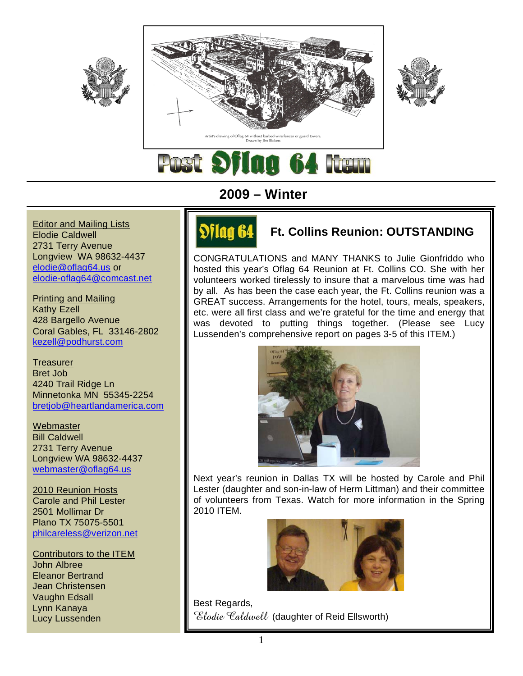



**Editor and Mailing Lists** Elodie Caldwell 2731 Terry Avenue Longview WA 98632-4437 elodie@oflag64.us or elodie-oflag64@comcast.net

Printing and Mailing Kathy Ezell 428 Bargello Avenue Coral Gables, FL 33146-2802 kezell@podhurst.com

**Treasurer** Bret Job 4240 Trail Ridge Ln Minnetonka MN 55345-2254 bretjob@heartlandamerica.com

**Webmaster** Bill Caldwell 2731 Terry Avenue Longview WA 98632-4437 webmaster@oflag64.us

2010 Reunion Hosts Carole and Phil Lester 2501 Mollimar Dr Plano TX 75075-5501 philcareless@verizon.net

Contributors to the ITEM John Albree Eleanor Bertrand Jean Christensen Vaughn Edsall Lynn Kanaya Lucy Lussenden

# **2009 – Winter**

# **SHIM H. Ft. Collins Reunion: OUTSTANDING**

CONGRATULATIONS and MANY THANKS to Julie Gionfriddo who hosted this year's Oflag 64 Reunion at Ft. Collins CO. She with her volunteers worked tirelessly to insure that a marvelous time was had by all. As has been the case each year, the Ft. Collins reunion was a GREAT success. Arrangements for the hotel, tours, meals, speakers, etc. were all first class and we're grateful for the time and energy that was devoted to putting things together. (Please see Lucy Lussenden's comprehensive report on pages 3-5 of this ITEM.)



Next year's reunion in Dallas TX will be hosted by Carole and Phil Lester (daughter and son-in-law of Herm Littman) and their committee of volunteers from Texas. Watch for more information in the Spring 2010 ITEM.



Best Regards, Elodie Caldwell (daughter of Reid Ellsworth)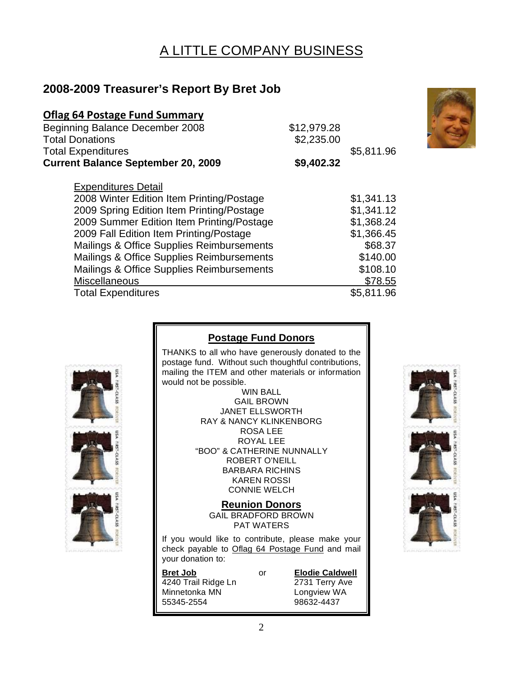# A LITTLE COMPANY BUSINESS

# **2008-2009 Treasurer's Report By Bret Job**

| <b>Oflag 64 Postage Fund Summary</b>      |             |            |
|-------------------------------------------|-------------|------------|
| <b>Beginning Balance December 2008</b>    | \$12,979.28 |            |
| <b>Total Donations</b>                    | \$2,235.00  |            |
| <b>Total Expenditures</b>                 |             | \$5,811.96 |
| <b>Current Balance September 20, 2009</b> | \$9,402.32  |            |
| <b>Expenditures Detail</b>                |             |            |
| 2008 Winter Edition Item Printing/Postage |             | \$1,341.13 |
| 2009 Spring Edition Item Printing/Postage |             | \$1,341.12 |
| 2009 Summer Edition Item Printing/Postage |             | \$1,368.24 |
| 2009 Fall Edition Item Printing/Postage   |             | \$1,366.45 |
| Mailings & Office Supplies Reimbursements |             | \$68.37    |
| Mailings & Office Supplies Reimbursements |             | \$140.00   |
| Mailings & Office Supplies Reimbursements |             | \$108.10   |
| Miscellaneous                             |             | \$78.55    |
| <b>Total Expenditures</b>                 |             | \$5,811.96 |

## **Postage Fund Donors**

THANKS to all who have generously donated to the postage fund. Without such thoughtful contributions, mailing the ITEM and other materials or information would not be possible.

WIN BALL GAIL BROWN JANET ELLSWORTH RAY & NANCY KLINKENBORG ROSA LEE ROYAL LEE "BOO" & CATHERINE NUNNALLY ROBERT O'NEILL BARBARA RICHINS KAREN ROSSI CONNIE WELCH

**Reunion Donors** GAIL BRADFORD BROWN PAT WATERS

If you would like to contribute, please make your check payable to Oflag 64 Postage Fund and mail your donation to:

**Bret Job** or **Elodie Caldwell**<br>4240 Trail Ridge Ln 2731 Terry Ave 4240 Trail Ridge Ln Minnetonka MN Longview WA<br>55345-2554 98632-4437

98632-4437



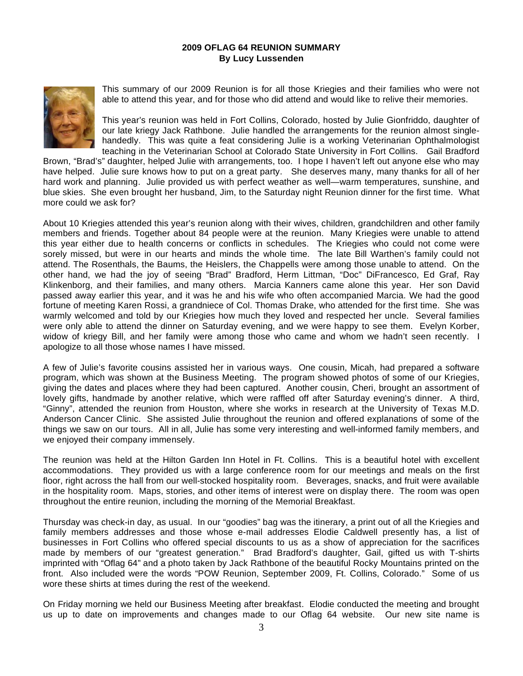#### **2009 OFLAG 64 REUNION SUMMARY By Lucy Lussenden**



This summary of our 2009 Reunion is for all those Kriegies and their families who were not able to attend this year, and for those who did attend and would like to relive their memories.

This year's reunion was held in Fort Collins, Colorado, hosted by Julie Gionfriddo, daughter of our late kriegy Jack Rathbone. Julie handled the arrangements for the reunion almost singlehandedly. This was quite a feat considering Julie is a working Veterinarian Ophthalmologist teaching in the Veterinarian School at Colorado State University in Fort Collins. Gail Bradford

Brown, "Brad's" daughter, helped Julie with arrangements, too. I hope I haven't left out anyone else who may have helped. Julie sure knows how to put on a great party. She deserves many, many thanks for all of her hard work and planning. Julie provided us with perfect weather as well—warm temperatures, sunshine, and blue skies. She even brought her husband, Jim, to the Saturday night Reunion dinner for the first time. What more could we ask for?

About 10 Kriegies attended this year's reunion along with their wives, children, grandchildren and other family members and friends. Together about 84 people were at the reunion. Many Kriegies were unable to attend this year either due to health concerns or conflicts in schedules. The Kriegies who could not come were sorely missed, but were in our hearts and minds the whole time. The late Bill Warthen's family could not attend. The Rosenthals, the Baums, the Heislers, the Chappells were among those unable to attend. On the other hand, we had the joy of seeing "Brad" Bradford, Herm Littman, "Doc" DiFrancesco, Ed Graf, Ray Klinkenborg, and their families, and many others. Marcia Kanners came alone this year. Her son David passed away earlier this year, and it was he and his wife who often accompanied Marcia. We had the good fortune of meeting Karen Rossi, a grandniece of Col. Thomas Drake, who attended for the first time. She was warmly welcomed and told by our Kriegies how much they loved and respected her uncle. Several families were only able to attend the dinner on Saturday evening, and we were happy to see them. Evelyn Korber, widow of kriegy Bill, and her family were among those who came and whom we hadn't seen recently. I apologize to all those whose names I have missed.

A few of Julie's favorite cousins assisted her in various ways. One cousin, Micah, had prepared a software program, which was shown at the Business Meeting. The program showed photos of some of our Kriegies, giving the dates and places where they had been captured. Another cousin, Cheri, brought an assortment of lovely gifts, handmade by another relative, which were raffled off after Saturday evening's dinner. A third, "Ginny", attended the reunion from Houston, where she works in research at the University of Texas M.D. Anderson Cancer Clinic. She assisted Julie throughout the reunion and offered explanations of some of the things we saw on our tours. All in all, Julie has some very interesting and well-informed family members, and we enjoyed their company immensely.

The reunion was held at the Hilton Garden Inn Hotel in Ft. Collins. This is a beautiful hotel with excellent accommodations. They provided us with a large conference room for our meetings and meals on the first floor, right across the hall from our well-stocked hospitality room. Beverages, snacks, and fruit were available in the hospitality room. Maps, stories, and other items of interest were on display there. The room was open throughout the entire reunion, including the morning of the Memorial Breakfast.

Thursday was check-in day, as usual. In our "goodies" bag was the itinerary, a print out of all the Kriegies and family members addresses and those whose e-mail addresses Elodie Caldwell presently has, a list of businesses in Fort Collins who offered special discounts to us as a show of appreciation for the sacrifices made by members of our "greatest generation." Brad Bradford's daughter, Gail, gifted us with T-shirts imprinted with "Oflag 64" and a photo taken by Jack Rathbone of the beautiful Rocky Mountains printed on the front. Also included were the words "POW Reunion, September 2009, Ft. Collins, Colorado." Some of us wore these shirts at times during the rest of the weekend.

On Friday morning we held our Business Meeting after breakfast. Elodie conducted the meeting and brought us up to date on improvements and changes made to our Oflag 64 website. Our new site name is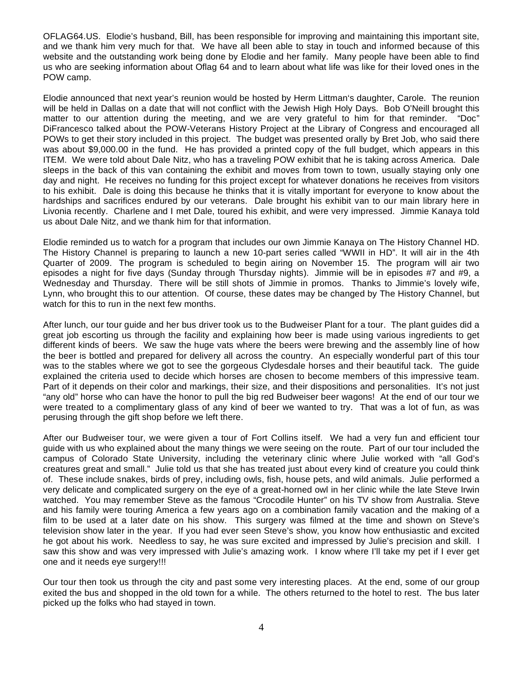OFLAG64.US. Elodie's husband, Bill, has been responsible for improving and maintaining this important site, and we thank him very much for that. We have all been able to stay in touch and informed because of this website and the outstanding work being done by Elodie and her family. Many people have been able to find us who are seeking information about Oflag 64 and to learn about what life was like for their loved ones in the POW camp.

Elodie announced that next year's reunion would be hosted by Herm Littman's daughter, Carole. The reunion will be held in Dallas on a date that will not conflict with the Jewish High Holy Days. Bob O'Neill brought this matter to our attention during the meeting, and we are very grateful to him for that reminder. "Doc" DiFrancesco talked about the POW-Veterans History Project at the Library of Congress and encouraged all POWs to get their story included in this project. The budget was presented orally by Bret Job, who said there was about \$9,000.00 in the fund. He has provided a printed copy of the full budget, which appears in this ITEM. We were told about Dale Nitz, who has a traveling POW exhibit that he is taking across America. Dale sleeps in the back of this van containing the exhibit and moves from town to town, usually staying only one day and night. He receives no funding for this project except for whatever donations he receives from visitors to his exhibit. Dale is doing this because he thinks that it is vitally important for everyone to know about the hardships and sacrifices endured by our veterans. Dale brought his exhibit van to our main library here in Livonia recently. Charlene and I met Dale, toured his exhibit, and were very impressed. Jimmie Kanaya told us about Dale Nitz, and we thank him for that information.

Elodie reminded us to watch for a program that includes our own Jimmie Kanaya on The History Channel HD. The History Channel is preparing to launch a new 10-part series called "WWII in HD". It will air in the 4th Quarter of 2009. The program is scheduled to begin airing on November 15. The program will air two episodes a night for five days (Sunday through Thursday nights). Jimmie will be in episodes #7 and #9, a Wednesday and Thursday. There will be still shots of Jimmie in promos. Thanks to Jimmie's lovely wife, Lynn, who brought this to our attention. Of course, these dates may be changed by The History Channel, but watch for this to run in the next few months.

After lunch, our tour guide and her bus driver took us to the Budweiser Plant for a tour. The plant guides did a great job escorting us through the facility and explaining how beer is made using various ingredients to get different kinds of beers. We saw the huge vats where the beers were brewing and the assembly line of how the beer is bottled and prepared for delivery all across the country. An especially wonderful part of this tour was to the stables where we got to see the gorgeous Clydesdale horses and their beautiful tack. The guide explained the criteria used to decide which horses are chosen to become members of this impressive team. Part of it depends on their color and markings, their size, and their dispositions and personalities. It's not just "any old" horse who can have the honor to pull the big red Budweiser beer wagons! At the end of our tour we were treated to a complimentary glass of any kind of beer we wanted to try. That was a lot of fun, as was perusing through the gift shop before we left there.

After our Budweiser tour, we were given a tour of Fort Collins itself. We had a very fun and efficient tour guide with us who explained about the many things we were seeing on the route. Part of our tour included the campus of Colorado State University, including the veterinary clinic where Julie worked with "all God's creatures great and small." Julie told us that she has treated just about every kind of creature you could think of. These include snakes, birds of prey, including owls, fish, house pets, and wild animals. Julie performed a very delicate and complicated surgery on the eye of a great-horned owl in her clinic while the late Steve Irwin watched. You may remember Steve as the famous "Crocodile Hunter" on his TV show from Australia. Steve and his family were touring America a few years ago on a combination family vacation and the making of a film to be used at a later date on his show. This surgery was filmed at the time and shown on Steve's television show later in the year. If you had ever seen Steve's show, you know how enthusiastic and excited he got about his work. Needless to say, he was sure excited and impressed by Julie's precision and skill. I saw this show and was very impressed with Julie's amazing work. I know where I'll take my pet if I ever get one and it needs eye surgery!!!

Our tour then took us through the city and past some very interesting places. At the end, some of our group exited the bus and shopped in the old town for a while. The others returned to the hotel to rest. The bus later picked up the folks who had stayed in town.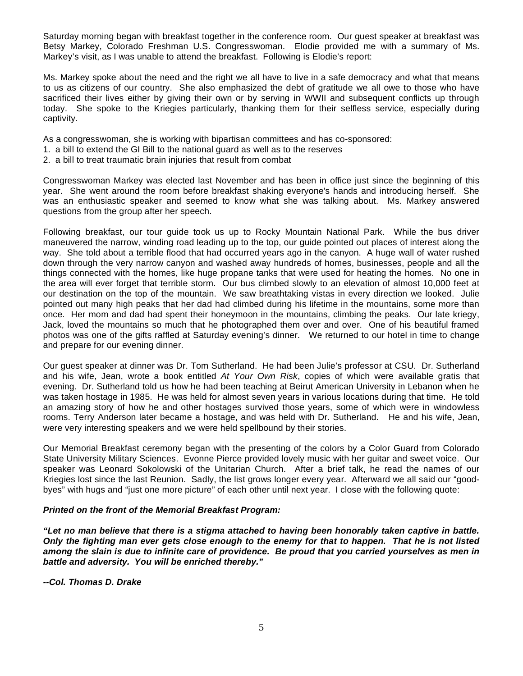Saturday morning began with breakfast together in the conference room. Our guest speaker at breakfast was Betsy Markey, Colorado Freshman U.S. Congresswoman. Elodie provided me with a summary of Ms. Markey's visit, as I was unable to attend the breakfast. Following is Elodie's report:

Ms. Markey spoke about the need and the right we all have to live in a safe democracy and what that means to us as citizens of our country. She also emphasized the debt of gratitude we all owe to those who have sacrificed their lives either by giving their own or by serving in WWII and subsequent conflicts up through today. She spoke to the Kriegies particularly, thanking them for their selfless service, especially during captivity.

As a congresswoman, she is working with bipartisan committees and has co-sponsored:

- 1. a bill to extend the GI Bill to the national guard as well as to the reserves
- 2. a bill to treat traumatic brain injuries that result from combat

Congresswoman Markey was elected last November and has been in office just since the beginning of this year. She went around the room before breakfast shaking everyone's hands and introducing herself. She was an enthusiastic speaker and seemed to know what she was talking about. Ms. Markey answered questions from the group after her speech.

Following breakfast, our tour guide took us up to Rocky Mountain National Park. While the bus driver maneuvered the narrow, winding road leading up to the top, our guide pointed out places of interest along the way. She told about a terrible flood that had occurred years ago in the canyon. A huge wall of water rushed down through the very narrow canyon and washed away hundreds of homes, businesses, people and all the things connected with the homes, like huge propane tanks that were used for heating the homes. No one in the area will ever forget that terrible storm. Our bus climbed slowly to an elevation of almost 10,000 feet at our destination on the top of the mountain. We saw breathtaking vistas in every direction we looked. Julie pointed out many high peaks that her dad had climbed during his lifetime in the mountains, some more than once. Her mom and dad had spent their honeymoon in the mountains, climbing the peaks. Our late kriegy, Jack, loved the mountains so much that he photographed them over and over. One of his beautiful framed photos was one of the gifts raffled at Saturday evening's dinner. We returned to our hotel in time to change and prepare for our evening dinner.

Our guest speaker at dinner was Dr. Tom Sutherland. He had been Julie's professor at CSU. Dr. Sutherland and his wife, Jean, wrote a book entitled *At Your Own Risk*, copies of which were available gratis that evening. Dr. Sutherland told us how he had been teaching at Beirut American University in Lebanon when he was taken hostage in 1985. He was held for almost seven years in various locations during that time. He told an amazing story of how he and other hostages survived those years, some of which were in windowless rooms. Terry Anderson later became a hostage, and was held with Dr. Sutherland. He and his wife, Jean, were very interesting speakers and we were held spellbound by their stories.

Our Memorial Breakfast ceremony began with the presenting of the colors by a Color Guard from Colorado State University Military Sciences. Evonne Pierce provided lovely music with her guitar and sweet voice. Our speaker was Leonard Sokolowski of the Unitarian Church. After a brief talk, he read the names of our Kriegies lost since the last Reunion. Sadly, the list grows longer every year. Afterward we all said our "goodbyes" with hugs and "just one more picture" of each other until next year. I close with the following quote:

### *Printed on the front of the Memorial Breakfast Program:*

*"Let no man believe that there is a stigma attached to having been honorably taken captive in battle. Only the fighting man ever gets close enough to the enemy for that to happen. That he is not listed among the slain is due to infinite care of providence. Be proud that you carried yourselves as men in battle and adversity. You will be enriched thereby."* 

*--Col. Thomas D. Drake*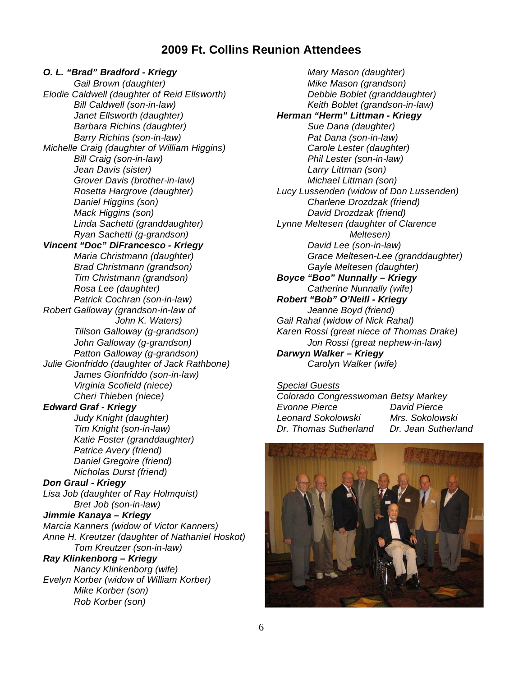## **2009 Ft. Collins Reunion Attendees**

*O. L. "Brad" Bradford - Kriegy Gail Brown (daughter) Elodie Caldwell (daughter of Reid Ellsworth) Bill Caldwell (son-in-law) Janet Ellsworth (daughter) Barbara Richins (daughter) Barry Richins (son-in-law) Michelle Craig (daughter of William Higgins) Bill Craig (son-in-law) Jean Davis (sister) Grover Davis (brother-in-law) Rosetta Hargrove (daughter) Daniel Higgins (son) Mack Higgins (son) Linda Sachetti (granddaughter) Ryan Sachetti (g-grandson) Vincent "Doc" DiFrancesco - Kriegy Maria Christmann (daughter) Brad Christmann (grandson) Tim Christmann (grandson) Rosa Lee (daughter) Patrick Cochran (son-in-law) Robert Galloway (grandson-in-law of John K. Waters) Tillson Galloway (g-grandson) John Galloway (g-grandson) Patton Galloway (g-grandson) Julie Gionfriddo (daughter of Jack Rathbone) James Gionfriddo (son-in-law) Virginia Scofield (niece) Cheri Thieben (niece) Edward Graf - Kriegy Judy Knight (daughter) Tim Knight (son-in-law) Katie Foster (granddaughter) Patrice Avery (friend) Daniel Gregoire (friend) Nicholas Durst (friend) Don Graul - Kriegy Lisa Job (daughter of Ray Holmquist) Bret Job (son-in-law) Jimmie Kanaya – Kriegy Marcia Kanners (widow of Victor Kanners) Anne H. Kreutzer (daughter of Nathaniel Hoskot) Tom Kreutzer (son-in-law) Ray Klinkenborg – Kriegy Nancy Klinkenborg (wife) Evelyn Korber (widow of William Korber) Mike Korber (son) Rob Korber (son)* 

*Mary Mason (daughter) Mike Mason (grandson) Debbie Boblet (granddaughter) Keith Boblet (grandson-in-law) Herman "Herm" Littman - Kriegy Sue Dana (daughter) Pat Dana (son-in-law) Carole Lester (daughter) Phil Lester (son-in-law) Larry Littman (son) Michael Littman (son) Lucy Lussenden (widow of Don Lussenden) Charlene Drozdzak (friend) David Drozdzak (friend) Lynne Meltesen (daughter of Clarence Meltesen) David Lee (son-in-law) Grace Meltesen-Lee (granddaughter) Gayle Meltesen (daughter) Boyce "Boo" Nunnally – Kriegy Catherine Nunnally (wife) Robert "Bob" O'Neill - Kriegy Jeanne Boyd (friend) Gail Rahal (widow of Nick Rahal) Karen Rossi (great niece of Thomas Drake) Jon Rossi (great nephew-in-law) Darwyn Walker – Kriegy Carolyn Walker (wife)* 

### *Special Guests*

*Colorado Congresswoman Betsy Markey Evonne Pierce David Pierce Leonard Sokolowski Mrs. Sokolowski Dr. Thomas Sutherland Dr. Jean Sutherland* 

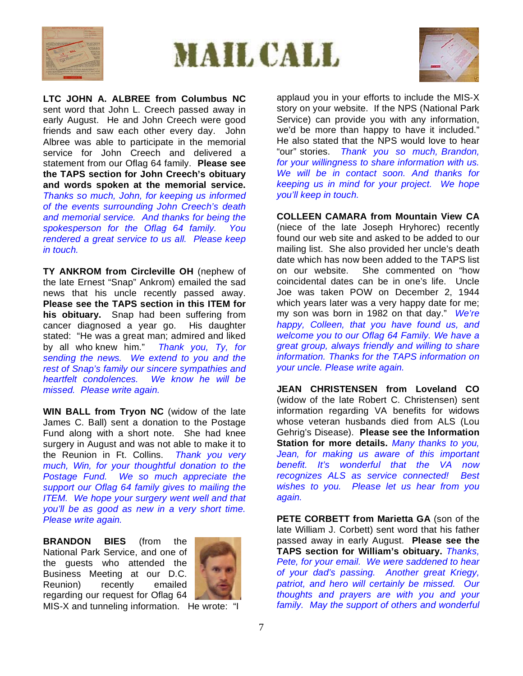





**LTC JOHN A. ALBREE from Columbus NC**  sent word that John L. Creech passed away in early August. He and John Creech were good friends and saw each other every day. John Albree was able to participate in the memorial service for John Creech and delivered a statement from our Oflag 64 family. **Please see the TAPS section for John Creech's obituary and words spoken at the memorial service.** *Thanks so much, John, for keeping us informed of the events surrounding John Creech's death and memorial service. And thanks for being the spokesperson for the Oflag 64 family. You rendered a great service to us all. Please keep in touch.*

**TY ANKROM from Circleville OH** (nephew of the late Ernest "Snap" Ankrom) emailed the sad news that his uncle recently passed away. **Please see the TAPS section in this ITEM for his obituary.** Snap had been suffering from cancer diagnosed a year go. His daughter stated: "He was a great man; admired and liked by all who knew him." *Thank you, Ty, for sending the news. We extend to you and the rest of Snap's family our sincere sympathies and heartfelt condolences. We know he will be missed. Please write again.*

**WIN BALL from Tryon NC** (widow of the late James C. Ball) sent a donation to the Postage Fund along with a short note. She had knee surgery in August and was not able to make it to the Reunion in Ft. Collins. *Thank you very much, Win, for your thoughtful donation to the Postage Fund. We so much appreciate the support our Oflag 64 family gives to mailing the ITEM. We hope your surgery went well and that you'll be as good as new in a very short time. Please write again.*

**BRANDON BIES** (from the National Park Service, and one of the guests who attended the Business Meeting at our D.C. Reunion) recently emailed regarding our request for Oflag 64



MIS-X and tunneling information. He wrote: "I

applaud you in your efforts to include the MIS-X story on your website. If the NPS (National Park Service) can provide you with any information, we'd be more than happy to have it included." He also stated that the NPS would love to hear "our" stories. *Thank you so much, Brandon, for your willingness to share information with us. We will be in contact soon. And thanks for keeping us in mind for your project. We hope you'll keep in touch.* 

**COLLEEN CAMARA from Mountain View CA**  (niece of the late Joseph Hryhorec) recently found our web site and asked to be added to our mailing list. She also provided her uncle's death date which has now been added to the TAPS list on our website. She commented on "how coincidental dates can be in one's life. Uncle Joe was taken POW on December 2, 1944 which years later was a very happy date for me; my son was born in 1982 on that day." *We're happy, Colleen, that you have found us, and welcome you to our Oflag 64 Family. We have a great group, always friendly and willing to share information. Thanks for the TAPS information on your uncle. Please write again.* 

**JEAN CHRISTENSEN from Loveland CO** (widow of the late Robert C. Christensen) sent information regarding VA benefits for widows whose veteran husbands died from ALS (Lou Gehrig's Disease). **Please see the Information Station for more details.** *Many thanks to you, Jean, for making us aware of this important benefit. It's wonderful that the VA now recognizes ALS as service connected! Best wishes to you. Please let us hear from you again.*

**PETE CORBETT from Marietta GA** (son of the late William J. Corbett) sent word that his father passed away in early August. **Please see the TAPS section for William's obituary.** *Thanks, Pete, for your email. We were saddened to hear of your dad's passing. Another great Kriegy, patriot, and hero will certainly be missed. Our thoughts and prayers are with you and your family. May the support of others and wonderful*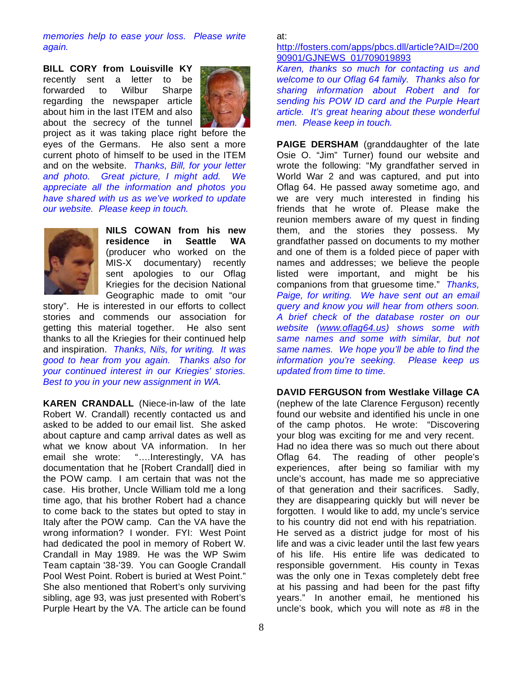*memories help to ease your loss. Please write again.* 

**BILL CORY from Louisville KY**  recently sent a letter to be forwarded to Wilbur Sharpe regarding the newspaper article about him in the last ITEM and also about the secrecy of the tunnel



project as it was taking place right before the eyes of the Germans. He also sent a more current photo of himself to be used in the ITEM and on the website. *Thanks, Bill, for your letter and photo. Great picture, I might add. We appreciate all the information and photos you have shared with us as we've worked to update our website. Please keep in touch.* 



**NILS COWAN from his new residence in Seattle WA**  (producer who worked on the MIS-X documentary) recently sent apologies to our Oflag Kriegies for the decision National Geographic made to omit "our

story". He is interested in our efforts to collect stories and commends our association for getting this material together. He also sent thanks to all the Kriegies for their continued help and inspiration. *Thanks, Nils, for writing. It was good to hear from you again. Thanks also for your continued interest in our Kriegies' stories. Best to you in your new assignment in WA.* 

**KAREN CRANDALL** (Niece-in-law of the late Robert W. Crandall) recently contacted us and asked to be added to our email list. She asked about capture and camp arrival dates as well as what we know about VA information. In her email she wrote: "….Interestingly, VA has documentation that he [Robert Crandall] died in the POW camp. I am certain that was not the case. His brother, Uncle William told me a long time ago, that his brother Robert had a chance to come back to the states but opted to stay in Italy after the POW camp. Can the VA have the wrong information? I wonder. FYI: West Point had dedicated the pool in memory of Robert W. Crandall in May 1989. He was the WP Swim Team captain '38-'39. You can Google Crandall Pool West Point. Robert is buried at West Point." She also mentioned that Robert's only surviving sibling, age 93, was just presented with Robert's Purple Heart by the VA. The article can be found

at:

## http://fosters.com/apps/pbcs.dll/article?AID=/200 90901/GJNEWS\_01/709019893

*Karen, thanks so much for contacting us and welcome to our Oflag 64 family. Thanks also for sharing information about Robert and for sending his POW ID card and the Purple Heart article. It's great hearing about these wonderful men. Please keep in touch.*

**PAIGE DERSHAM** (granddaughter of the late Osie O. "Jim" Turner) found our website and wrote the following: "My grandfather served in World War 2 and was captured, and put into Oflag 64. He passed away sometime ago, and we are very much interested in finding his friends that he wrote of. Please make the reunion members aware of my quest in finding them, and the stories they possess. My grandfather passed on documents to my mother and one of them is a folded piece of paper with names and addresses; we believe the people listed were important, and might be his companions from that gruesome time." *Thanks, Paige, for writing. We have sent out an email query and know you will hear from others soon. A brief check of the database roster on our website (www.oflag64.us) shows some with same names and some with similar, but not same names. We hope you'll be able to find the information you're seeking. Please keep us updated from time to time.* 

**DAVID FERGUSON from Westlake Village CA** (nephew of the late Clarence Ferguson) recently found our website and identified his uncle in one of the camp photos. He wrote: "Discovering your blog was exciting for me and very recent. Had no idea there was so much out there about Oflag 64. The reading of other people's experiences, after being so familiar with my uncle's account, has made me so appreciative of that generation and their sacrifices. Sadly, they are disappearing quickly but will never be forgotten. I would like to add, my uncle's service to his country did not end with his repatriation. He served as a district judge for most of his life and was a civic leader until the last few years of his life. His entire life was dedicated to responsible government. His county in Texas was the only one in Texas completely debt free at his passing and had been for the past fifty years." In another email, he mentioned his uncle's book, which you will note as #8 in the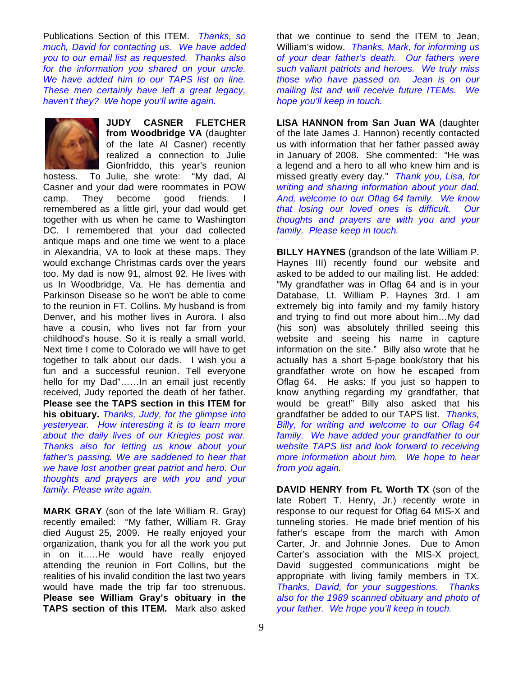Publications Section of this ITEM. *Thanks, so much, David for contacting us. We have added you to our email list as requested. Thanks also for the information you shared on your uncle. We have added him to our TAPS list on line. These men certainly have left a great legacy, haven't they? We hope you'll write again.* 



**JUDY CASNER FLETCHER from Woodbridge VA** (daughter of the late Al Casner) recently realized a connection to Julie Gionfriddo, this year's reunion hostess. To Julie, she wrote: "My dad, Al

Casner and your dad were roommates in POW camp. They become good friends. I remembered as a little girl, your dad would get together with us when he came to Washington DC. I remembered that your dad collected antique maps and one time we went to a place in Alexandria, VA to look at these maps. They would exchange Christmas cards over the years too. My dad is now 91, almost 92. He lives with us In Woodbridge, Va. He has dementia and Parkinson Disease so he won't be able to come to the reunion in FT. Collins. My husband is from Denver, and his mother lives in Aurora. I also have a cousin, who lives not far from your childhood's house. So it is really a small world. Next time I come to Colorado we will have to get together to talk about our dads. I wish you a fun and a successful reunion. Tell everyone hello for my Dad"……In an email just recently received, Judy reported the death of her father. **Please see the TAPS section in this ITEM for his obituary.** *Thanks, Judy, for the glimpse into yesteryear. How interesting it is to learn more about the daily lives of our Kriegies post war. Thanks also for letting us know about your father's passing. We are saddened to hear that we have lost another great patriot and hero. Our thoughts and prayers are with you and your family. Please write again.* 

**MARK GRAY** (son of the late William R. Gray) recently emailed: "My father, William R. Gray died August 25, 2009. He really enjoyed your organization, thank you for all the work you put in on it…..He would have really enjoyed attending the reunion in Fort Collins, but the realities of his invalid condition the last two years would have made the trip far too strenuous. **Please see William Gray's obituary in the TAPS section of this ITEM.** Mark also asked

that we continue to send the ITEM to Jean, William's widow. *Thanks, Mark, for informing us of your dear father's death. Our fathers were such valiant patriots and heroes. We truly miss those who have passed on. Jean is on our mailing list and will receive future ITEMs. We hope you'll keep in touch.* 

**LISA HANNON from San Juan WA** (daughter of the late James J. Hannon) recently contacted us with information that her father passed away in January of 2008. She commented: "He was a legend and a hero to all who knew him and is missed greatly every day." *Thank you, Lisa, for writing and sharing information about your dad. And, welcome to our Oflag 64 family. We know that losing our loved ones is difficult. Our thoughts and prayers are with you and your family. Please keep in touch.* 

**BILLY HAYNES** (grandson of the late William P. Haynes III) recently found our website and asked to be added to our mailing list. He added: "My grandfather was in Oflag 64 and is in your Database, Lt. William P. Haynes 3rd. I am extremely big into family and my family history and trying to find out more about him…My dad (his son) was absolutely thrilled seeing this website and seeing his name in capture information on the site." Billy also wrote that he actually has a short 5-page book/story that his grandfather wrote on how he escaped from Oflag 64. He asks: If you just so happen to know anything regarding my grandfather, that would be great!" Billy also asked that his grandfather be added to our TAPS list. *Thanks, Billy, for writing and welcome to our Oflag 64 family. We have added your grandfather to our website TAPS list and look forward to receiving more information about him. We hope to hear from you again.*

**DAVID HENRY from Ft. Worth TX** (son of the late Robert T. Henry, Jr.) recently wrote in response to our request for Oflag 64 MIS-X and tunneling stories. He made brief mention of his father's escape from the march with Amon Carter, Jr. and Johnnie Jones. Due to Amon Carter's association with the MIS-X project, David suggested communications might be appropriate with living family members in TX. *Thanks, David, for your suggestions. Thanks also for the 1989 scanned obituary and photo of your father. We hope you'll keep in touch.*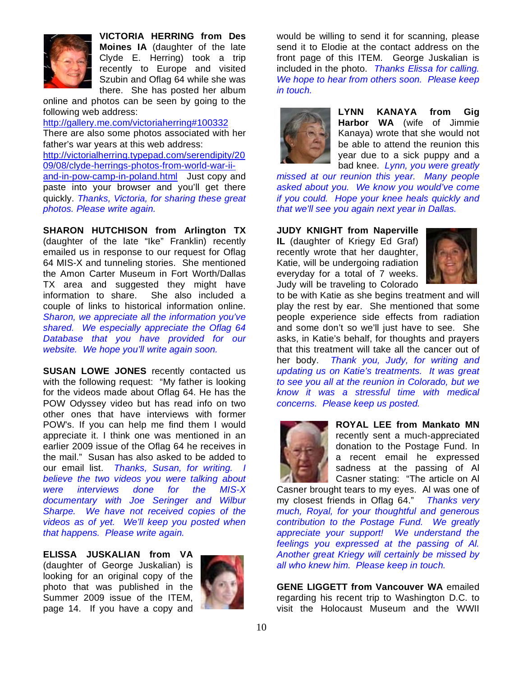

**VICTORIA HERRING from Des Moines IA** (daughter of the late Clyde E. Herring) took a trip recently to Europe and visited Szubin and Oflag 64 while she was there. She has posted her album

online and photos can be seen by going to the following web address:

http://gallery.me.com/victoriaherring#100332 There are also some photos associated with her father's war years at this web address: http://victorialherring.typepad.com/serendipity/20 09/08/clyde-herrings-photos-from-world-war-iiand-in-pow-camp-in-poland.html Just copy and paste into your browser and you'll get there quickly. *Thanks, Victoria, for sharing these great photos. Please write again.* 

**SHARON HUTCHISON from Arlington TX**  (daughter of the late "Ike" Franklin) recently emailed us in response to our request for Oflag 64 MIS-X and tunneling stories. She mentioned the Amon Carter Museum in Fort Worth/Dallas TX area and suggested they might have information to share. She also included a couple of links to historical information online. *Sharon, we appreciate all the information you've shared. We especially appreciate the Oflag 64 Database that you have provided for our website. We hope you'll write again soon.* 

**SUSAN LOWE JONES** recently contacted us with the following request: "My father is looking for the videos made about Oflag 64. He has the POW Odyssey video but has read info on two other ones that have interviews with former POW's. If you can help me find them I would appreciate it. I think one was mentioned in an earlier 2009 issue of the Oflag 64 he receives in the mail." Susan has also asked to be added to our email list. *Thanks, Susan, for writing. I believe the two videos you were talking about were interviews done for the MIS-X documentary with Joe Seringer and Wilbur Sharpe. We have not received copies of the videos as of yet. We'll keep you posted when that happens. Please write again.* 

**ELISSA JUSKALIAN from VA** (daughter of George Juskalian) is looking for an original copy of the photo that was published in the Summer 2009 issue of the ITEM, page 14. If you have a copy and



would be willing to send it for scanning, please send it to Elodie at the contact address on the front page of this ITEM. George Juskalian is included in the photo. *Thanks Elissa for calling. We hope to hear from others soon. Please keep in touch.* 



**LYNN KANAYA from Gig Harbor WA** (wife of Jimmie Kanaya) wrote that she would not be able to attend the reunion this year due to a sick puppy and a bad knee. *Lynn, you were greatly* 

*missed at our reunion this year. Many people asked about you. We know you would've come if you could. Hope your knee heals quickly and that we'll see you again next year in Dallas.* 

**JUDY KNIGHT from Naperville IL** (daughter of Kriegy Ed Graf) recently wrote that her daughter, Katie, will be undergoing radiation everyday for a total of 7 weeks. Judy will be traveling to Colorado



to be with Katie as she begins treatment and will play the rest by ear. She mentioned that some people experience side effects from radiation and some don't so we'll just have to see. She asks, in Katie's behalf, for thoughts and prayers that this treatment will take all the cancer out of her body. *Thank you, Judy, for writing and updating us on Katie's treatments. It was great to see you all at the reunion in Colorado, but we know it was a stressful time with medical concerns. Please keep us posted.*



**ROYAL LEE from Mankato MN** recently sent a much-appreciated donation to the Postage Fund. In a recent email he expressed sadness at the passing of Al Casner stating: "The article on Al

Casner brought tears to my eyes. Al was one of my closest friends in Oflag 64." *Thanks very much, Royal, for your thoughtful and generous contribution to the Postage Fund. We greatly appreciate your support! We understand the feelings you expressed at the passing of Al. Another great Kriegy will certainly be missed by all who knew him. Please keep in touch.* 

**GENE LIGGETT from Vancouver WA** emailed regarding his recent trip to Washington D.C. to visit the Holocaust Museum and the WWII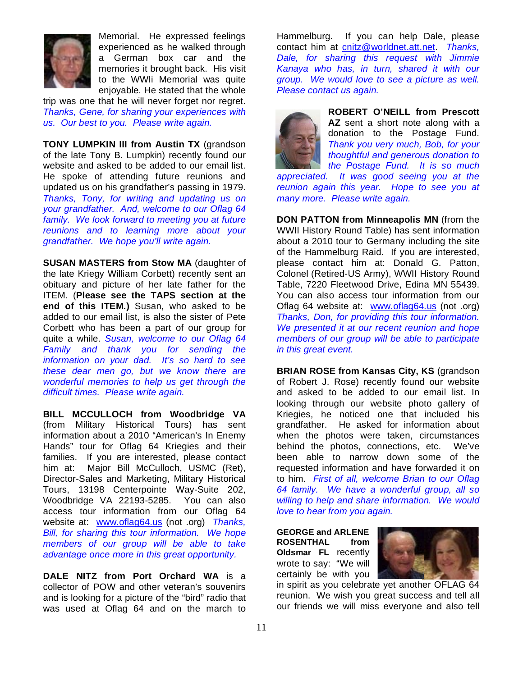

Memorial. He expressed feelings experienced as he walked through a German box car and the memories it brought back. His visit to the WWIi Memorial was quite enjoyable. He stated that the whole

trip was one that he will never forget nor regret. *Thanks, Gene, for sharing your experiences with us. Our best to you. Please write again.* 

**TONY LUMPKIN III from Austin TX** (grandson of the late Tony B. Lumpkin) recently found our website and asked to be added to our email list. He spoke of attending future reunions and updated us on his grandfather's passing in 1979. *Thanks, Tony, for writing and updating us on your grandfather. And, welcome to our Oflag 64 family. We look forward to meeting you at future reunions and to learning more about your grandfather. We hope you'll write again.* 

**SUSAN MASTERS from Stow MA** (daughter of the late Kriegy William Corbett) recently sent an obituary and picture of her late father for the ITEM. (**Please see the TAPS section at the end of this ITEM.)** Susan, who asked to be added to our email list, is also the sister of Pete Corbett who has been a part of our group for quite a while. *Susan, welcome to our Oflag 64 Family and thank you for sending the information on your dad. It's so hard to see these dear men go, but we know there are wonderful memories to help us get through the difficult times. Please write again.* 

**BILL MCCULLOCH from Woodbridge VA**  (from Military Historical Tours) has sent information about a 2010 "American's In Enemy Hands" tour for Oflag 64 Kriegies and their families. If you are interested, please contact him at: Major Bill McCulloch, USMC (Ret), Director-Sales and Marketing, Military Historical Tours, 13198 Centerpointe Way-Suite 202, Woodbridge VA 22193-5285. You can also access tour information from our Oflag 64 website at: www.oflag64.us (not .org) *Thanks, Bill, for sharing this tour information. We hope members of our group will be able to take advantage once more in this great opportunity.* 

**DALE NITZ from Port Orchard WA** is a collector of POW and other veteran's souvenirs and is looking for a picture of the "bird" radio that was used at Oflag 64 and on the march to

Hammelburg. If you can help Dale, please contact him at cnitz@worldnet.att.net. *Thanks, Dale, for sharing this request with Jimmie Kanaya who has, in turn, shared it with our group. We would love to see a picture as well. Please contact us again.* 



**ROBERT O'NEILL from Prescott AZ** sent a short note along with a donation to the Postage Fund. *Thank you very much, Bob, for your thoughtful and generous donation to the Postage Fund. It is so much* 

*appreciated. It was good seeing you at the reunion again this year. Hope to see you at many more. Please write again.* 

**DON PATTON from Minneapolis MN** (from the WWII History Round Table) has sent information about a 2010 tour to Germany including the site of the Hammelburg Raid. If you are interested, please contact him at: Donald G. Patton, Colonel (Retired-US Army), WWII History Round Table, 7220 Fleetwood Drive, Edina MN 55439. You can also access tour information from our Oflag 64 website at: www.oflag64.us (not .org) *Thanks, Don, for providing this tour information. We presented it at our recent reunion and hope members of our group will be able to participate in this great event.* 

**BRIAN ROSE from Kansas City, KS** (grandson of Robert J. Rose) recently found our website and asked to be added to our email list. In looking through our website photo gallery of Kriegies, he noticed one that included his grandfather. He asked for information about when the photos were taken, circumstances behind the photos, connections, etc. We've been able to narrow down some of the requested information and have forwarded it on to him. *First of all, welcome Brian to our Oflag 64 family. We have a wonderful group, all so willing to help and share information. We would love to hear from you again.*

**GEORGE and ARLENE ROSENTHAL from Oldsmar FL** recently wrote to say: "We will certainly be with you



in spirit as you celebrate yet another OFLAG 64 reunion. We wish you great success and tell all our friends we will miss everyone and also tell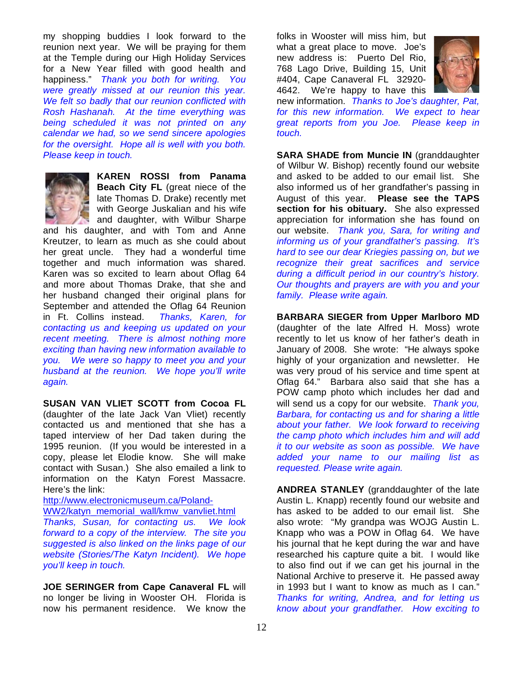my shopping buddies I look forward to the reunion next year. We will be praying for them at the Temple during our High Holiday Services for a New Year filled with good health and happiness." *Thank you both for writing. You were greatly missed at our reunion this year. We felt so badly that our reunion conflicted with Rosh Hashanah. At the time everything was being scheduled it was not printed on any calendar we had, so we send sincere apologies for the oversight. Hope all is well with you both. Please keep in touch.* 



**KAREN ROSSI from Panama Beach City FL** (great niece of the late Thomas D. Drake) recently met with George Juskalian and his wife and daughter, with Wilbur Sharpe

and his daughter, and with Tom and Anne Kreutzer, to learn as much as she could about her great uncle. They had a wonderful time together and much information was shared. Karen was so excited to learn about Oflag 64 and more about Thomas Drake, that she and her husband changed their original plans for September and attended the Oflag 64 Reunion in Ft. Collins instead. *Thanks, Karen, for contacting us and keeping us updated on your recent meeting. There is almost nothing more exciting than having new information available to you. We were so happy to meet you and your husband at the reunion. We hope you'll write again.*

**SUSAN VAN VLIET SCOTT from Cocoa FL**  (daughter of the late Jack Van Vliet) recently contacted us and mentioned that she has a taped interview of her Dad taken during the 1995 reunion. (If you would be interested in a copy, please let Elodie know. She will make contact with Susan.) She also emailed a link to information on the Katyn Forest Massacre. Here's the link:

http://www.electronicmuseum.ca/Poland-

WW2/katyn\_memorial\_wall/kmw\_vanvliet.html

*Thanks, Susan, for contacting us. We look forward to a copy of the interview. The site you suggested is also linked on the links page of our website (Stories/The Katyn Incident). We hope you'll keep in touch.* 

**JOE SERINGER from Cape Canaveral FL** will no longer be living in Wooster OH. Florida is now his permanent residence. We know the

folks in Wooster will miss him, but what a great place to move. Joe's new address is: Puerto Del Rio, 768 Lago Drive, Building 15, Unit #404, Cape Canaveral FL 32920- 4642. We're happy to have this



new information. *Thanks to Joe's daughter, Pat, for this new information. We expect to hear great reports from you Joe. Please keep in touch.*

**SARA SHADE from Muncie IN** (granddaughter of Wilbur W. Bishop) recently found our website and asked to be added to our email list. She also informed us of her grandfather's passing in August of this year. **Please see the TAPS section for his obituary.** She also expressed appreciation for information she has found on our website. *Thank you, Sara, for writing and informing us of your grandfather's passing. It's hard to see our dear Kriegies passing on, but we recognize their great sacrifices and service during a difficult period in our country's history. Our thoughts and prayers are with you and your family. Please write again.* 

**BARBARA SIEGER from Upper Marlboro MD** (daughter of the late Alfred H. Moss) wrote recently to let us know of her father's death in January of 2008. She wrote: "He always spoke highly of your organization and newsletter. He was very proud of his service and time spent at Oflag 64." Barbara also said that she has a POW camp photo which includes her dad and will send us a copy for our website. *Thank you, Barbara, for contacting us and for sharing a little about your father. We look forward to receiving the camp photo which includes him and will add it to our website as soon as possible. We have added your name to our mailing list as requested. Please write again.* 

**ANDREA STANLEY** (granddaughter of the late Austin L. Knapp) recently found our website and has asked to be added to our email list. She also wrote: "My grandpa was WOJG Austin L. Knapp who was a POW in Oflag 64. We have his journal that he kept during the war and have researched his capture quite a bit. I would like to also find out if we can get his journal in the National Archive to preserve it. He passed away in 1993 but I want to know as much as I can." *Thanks for writing, Andrea, and for letting us know about your grandfather. How exciting to*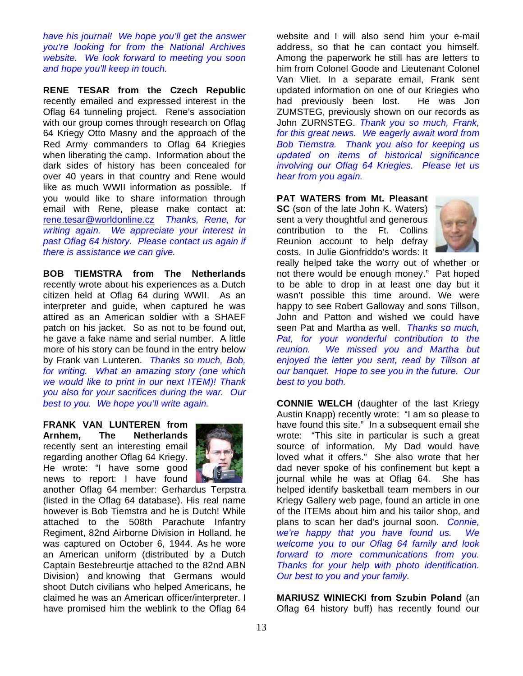*have his journal! We hope you'll get the answer you're looking for from the National Archives website. We look forward to meeting you soon and hope you'll keep in touch.* 

**RENE TESAR from the Czech Republic** recently emailed and expressed interest in the Oflag 64 tunneling project. Rene's association with our group comes through research on Oflag 64 Kriegy Otto Masny and the approach of the Red Army commanders to Oflag 64 Kriegies when liberating the camp. Information about the dark sides of history has been concealed for over 40 years in that country and Rene would like as much WWII information as possible. If you would like to share information through email with Rene, please make contact at: rene.tesar@worldonline.cz *Thanks, Rene, for writing again. We appreciate your interest in past Oflag 64 history. Please contact us again if there is assistance we can give.*

**BOB TIEMSTRA from The Netherlands**  recently wrote about his experiences as a Dutch citizen held at Oflag 64 during WWII. As an interpreter and guide, when captured he was attired as an American soldier with a SHAEF patch on his jacket. So as not to be found out, he gave a fake name and serial number. A little more of his story can be found in the entry below by Frank van Lunteren. *Thanks so much, Bob, for writing. What an amazing story (one which we would like to print in our next ITEM)! Thank you also for your sacrifices during the war. Our best to you. We hope you'll write again.* 

**FRANK VAN LUNTEREN from Arnhem, The Netherlands**  recently sent an interesting email regarding another Oflag 64 Kriegy. He wrote: "I have some good news to report: I have found



another Oflag 64 member: Gerhardus Terpstra (listed in the Oflag 64 database). His real name however is Bob Tiemstra and he is Dutch! While attached to the 508th Parachute Infantry Regiment, 82nd Airborne Division in Holland, he was captured on October 6, 1944. As he wore an American uniform (distributed by a Dutch Captain Bestebreurtje attached to the 82nd ABN Division) and knowing that Germans would shoot Dutch civilians who helped Americans, he claimed he was an American officer/interpreter. I have promised him the weblink to the Oflag 64

website and I will also send him your e-mail address, so that he can contact you himself. Among the paperwork he still has are letters to him from Colonel Goode and Lieutenant Colonel Van Vliet. In a separate email, Frank sent updated information on one of our Kriegies who had previously been lost. He was Jon ZUMSTEG, previously shown on our records as John ZURNSTEG. *Thank you so much, Frank, for this great news. We eagerly await word from Bob Tiemstra. Thank you also for keeping us updated on items of historical significance involving our Oflag 64 Kriegies. Please let us hear from you again.*

**PAT WATERS from Mt. Pleasant** 

**SC** (son of the late John K. Waters) sent a very thoughtful and generous contribution to the Ft. Collins Reunion account to help defray costs. In Julie Gionfriddo's words: It



really helped take the worry out of whether or not there would be enough money." Pat hoped to be able to drop in at least one day but it wasn't possible this time around. We were happy to see Robert Galloway and sons Tillson, John and Patton and wished we could have seen Pat and Martha as well. *Thanks so much, Pat, for your wonderful contribution to the reunion. We missed you and Martha but enjoyed the letter you sent, read by Tillson at our banquet. Hope to see you in the future. Our best to you both.* 

**CONNIE WELCH** (daughter of the last Kriegy Austin Knapp) recently wrote: "I am so please to have found this site." In a subsequent email she wrote: "This site in particular is such a great source of information. My Dad would have loved what it offers." She also wrote that her dad never spoke of his confinement but kept a journal while he was at Oflag 64. She has helped identify basketball team members in our Kriegy Gallery web page, found an article in one of the ITEMs about him and his tailor shop, and plans to scan her dad's journal soon. *Connie, we're happy that you have found us. We welcome you to our Oflag 64 family and look forward to more communications from you. Thanks for your help with photo identification. Our best to you and your family.* 

**MARIUSZ WINIECKI from Szubin Poland** (an Oflag 64 history buff) has recently found our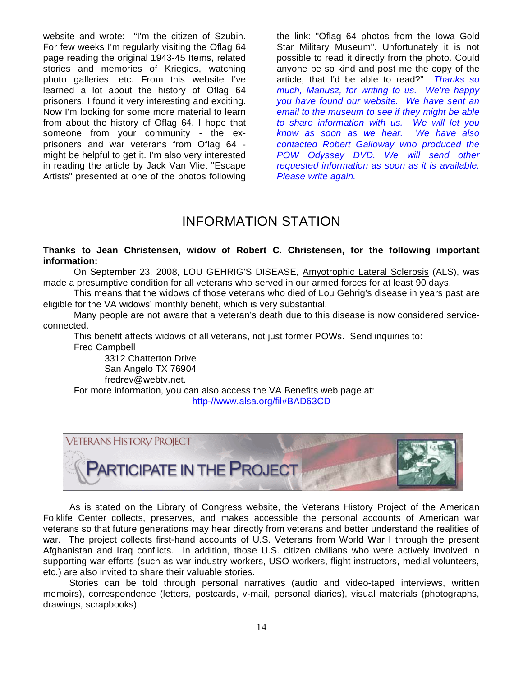website and wrote: "I'm the citizen of Szubin. For few weeks I'm regularly visiting the Oflag 64 page reading the original 1943-45 Items, related stories and memories of Kriegies, watching photo galleries, etc. From this website I've learned a lot about the history of Oflag 64 prisoners. I found it very interesting and exciting. Now I'm looking for some more material to learn from about the history of Oflag 64. I hope that someone from your community - the exprisoners and war veterans from Oflag 64 might be helpful to get it. I'm also very interested in reading the article by Jack Van Vliet "Escape Artists" presented at one of the photos following the link: "Oflag 64 photos from the Iowa Gold Star Military Museum". Unfortunately it is not possible to read it directly from the photo. Could anyone be so kind and post me the copy of the article, that I'd be able to read?" *Thanks so much, Mariusz, for writing to us. We're happy you have found our website. We have sent an email to the museum to see if they might be able to share information with us. We will let you know as soon as we hear. We have also contacted Robert Galloway who produced the POW Odyssey DVD. We will send other requested information as soon as it is available. Please write again.* 

## INFORMATION STATION

## **Thanks to Jean Christensen, widow of Robert C. Christensen, for the following important information:**

 On September 23, 2008, LOU GEHRIG'S DISEASE, Amyotrophic Lateral Sclerosis (ALS), was made a presumptive condition for all veterans who served in our armed forces for at least 90 days.

 This means that the widows of those veterans who died of Lou Gehrig's disease in years past are eligible for the VA widows' monthly benefit, which is very substantial.

 Many people are not aware that a veteran's death due to this disease is now considered serviceconnected.

This benefit affects widows of all veterans, not just former POWs. Send inquiries to: Fred Campbell

3312 Chatterton Drive San Angelo TX 76904 fredrev@webtv.net.

For more information, you can also access the VA Benefits web page at: http-//www.alsa.org/fil#BAD63CD



 As is stated on the Library of Congress website, the Veterans History Project of the American Folklife Center collects, preserves, and makes accessible the personal accounts of American war veterans so that future generations may hear directly from veterans and better understand the realities of war. The project collects first-hand accounts of U.S. Veterans from World War I through the present Afghanistan and Iraq conflicts. In addition, those U.S. citizen civilians who were actively involved in supporting war efforts (such as war industry workers, USO workers, flight instructors, medial volunteers, etc.) are also invited to share their valuable stories.

 Stories can be told through personal narratives (audio and video-taped interviews, written memoirs), correspondence (letters, postcards, v-mail, personal diaries), visual materials (photographs, drawings, scrapbooks).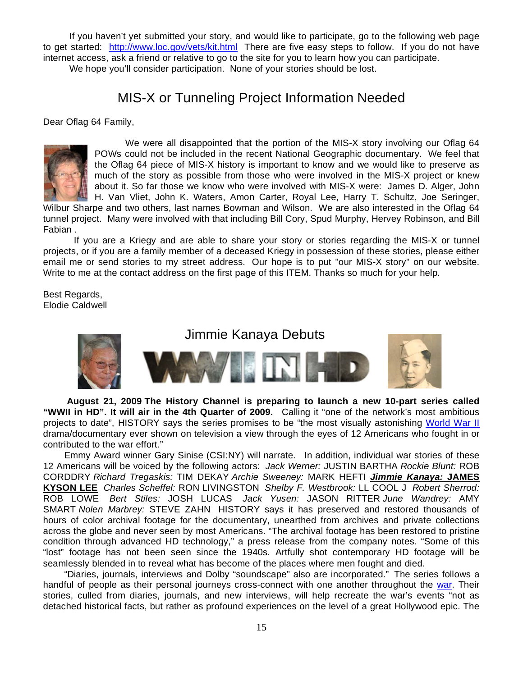If you haven't yet submitted your story, and would like to participate, go to the following web page to get started: http://www.loc.gov/vets/kit.html There are five easy steps to follow. If you do not have internet access, ask a friend or relative to go to the site for you to learn how you can participate.

We hope you'll consider participation. None of your stories should be lost.

# MIS-X or Tunneling Project Information Needed

Dear Oflag 64 Family,



 We were all disappointed that the portion of the MIS-X story involving our Oflag 64 POWs could not be included in the recent National Geographic documentary. We feel that the Oflag 64 piece of MIS-X history is important to know and we would like to preserve as much of the story as possible from those who were involved in the MIS-X project or knew about it. So far those we know who were involved with MIS-X were: James D. Alger, John H. Van Vliet, John K. Waters, Amon Carter, Royal Lee, Harry T. Schultz, Joe Seringer,

Wilbur Sharpe and two others, last names Bowman and Wilson. We are also interested in the Oflag 64 tunnel project. Many were involved with that including Bill Cory, Spud Murphy, Hervey Robinson, and Bill Fabian .

If you are a Kriegy and are able to share your story or stories regarding the MIS-X or tunnel projects, or if you are a family member of a deceased Kriegy in possession of these stories, please either email me or send stories to my street address. Our hope is to put "our MIS-X story" on our website. Write to me at the contact address on the first page of this ITEM. Thanks so much for your help.

Best Regards, Elodie Caldwell



 **August 21, 2009 The History Channel is preparing to launch a new 10-part series called "WWII in HD". It will air in the 4th Quarter of 2009.** Calling it "one of the network's most ambitious projects to date", HISTORY says the series promises to be "the most visually astonishing World War II drama/documentary ever shown on television a view through the eyes of 12 Americans who fought in or contributed to the war effort."

 Emmy Award winner Gary Sinise (CSI:NY) will narrate. In addition, individual war stories of these 12 Americans will be voiced by the following actors: *Jack Werner:* JUSTIN BARTHA *Rockie Blunt:* ROB CORDDRY *Richard Tregaskis:* TIM DEKAY *Archie Sweeney:* MARK HEFTI *Jimmie Kanaya:* **JAMES KYSON LEE** *Charles Scheffel:* RON LIVINGSTON *Shelby F. Westbrook:* LL COOL J *Robert Sherrod:* ROB LOWE *Bert Stiles:* JOSH LUCAS *Jack Yusen:* JASON RITTER *June Wandrey:* AMY SMART *Nolen Marbrey:* STEVE ZAHN HISTORY says it has preserved and restored thousands of hours of color archival footage for the documentary, unearthed from archives and private collections across the globe and never seen by most Americans. "The archival footage has been restored to pristine condition through advanced HD technology," a press release from the company notes. "Some of this "lost" footage has not been seen since the 1940s. Artfully shot contemporary HD footage will be seamlessly blended in to reveal what has become of the places where men fought and died.

 "Diaries, journals, interviews and Dolby "soundscape" also are incorporated." The series follows a handful of people as their personal journeys cross-connect with one another throughout the war. Their stories, culled from diaries, journals, and new interviews, will help recreate the war's events "not as detached historical facts, but rather as profound experiences on the level of a great Hollywood epic. The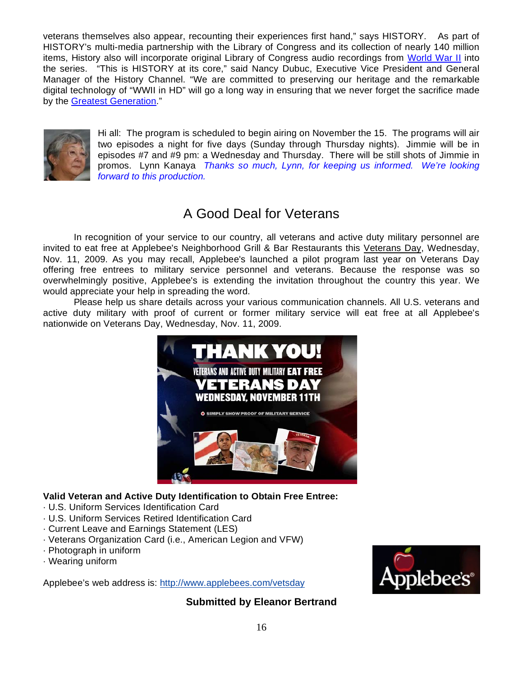veterans themselves also appear, recounting their experiences first hand," says HISTORY. As part of HISTORY's multi-media partnership with the Library of Congress and its collection of nearly 140 million items, History also will incorporate original Library of Congress audio recordings from World War II into the series. "This is HISTORY at its core," said Nancy Dubuc, Executive Vice President and General Manager of the History Channel. "We are committed to preserving our heritage and the remarkable digital technology of "WWII in HD" will go a long way in ensuring that we never forget the sacrifice made by the Greatest Generation."



Hi all: The program is scheduled to begin airing on November the 15. The programs will air two episodes a night for five days (Sunday through Thursday nights). Jimmie will be in episodes #7 and #9 pm: a Wednesday and Thursday. There will be still shots of Jimmie in promos. Lynn Kanaya *Thanks so much, Lynn, for keeping us informed. We're looking forward to this production.* 

# A Good Deal for Veterans

In recognition of your service to our country, all veterans and active duty military personnel are invited to eat free at Applebee's Neighborhood Grill & Bar Restaurants this Veterans Day, Wednesday, Nov. 11, 2009. As you may recall, Applebee's launched a pilot program last year on Veterans Day offering free entrees to military service personnel and veterans. Because the response was so overwhelmingly positive, Applebee's is extending the invitation throughout the country this year. We would appreciate your help in spreading the word.

Please help us share details across your various communication channels. All U.S. veterans and active duty military with proof of current or former military service will eat free at all Applebee's nationwide on Veterans Day, Wednesday, Nov. 11, 2009.



## **Valid Veteran and Active Duty Identification to Obtain Free Entree:**

- · U.S. Uniform Services Identification Card
- · U.S. Uniform Services Retired Identification Card
- · Current Leave and Earnings Statement (LES)
- · Veterans Organization Card (i.e., American Legion and VFW)
- · Photograph in uniform
- · Wearing uniform

Applebee's web address is: http://www.applebees.com/vetsday



**Submitted by Eleanor Bertrand**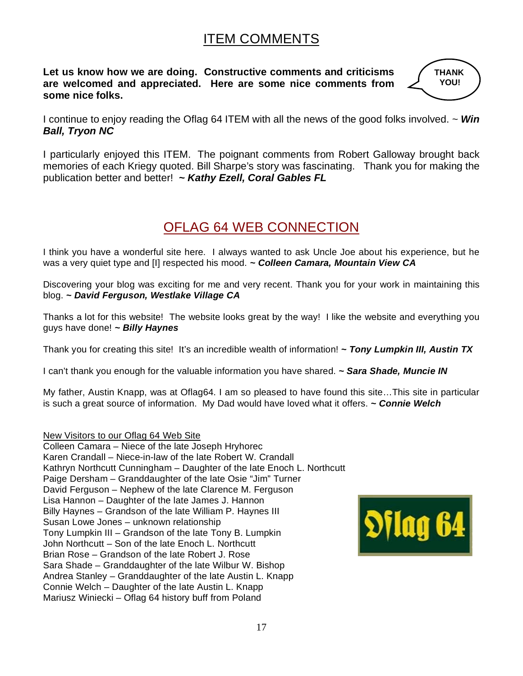# ITEM COMMENTS

**Let us know how we are doing. Constructive comments and criticisms are welcomed and appreciated. Here are some nice comments from some nice folks.** 



I continue to enjoy reading the Oflag 64 ITEM with all the news of the good folks involved. ~ *Win Ball, Tryon NC* 

I particularly enjoyed this ITEM. The poignant comments from Robert Galloway brought back memories of each Kriegy quoted. Bill Sharpe's story was fascinating. Thank you for making the publication better and better! *~ Kathy Ezell, Coral Gables FL* 

# OFLAG 64 WEB CONNECTION

I think you have a wonderful site here. I always wanted to ask Uncle Joe about his experience, but he was a very quiet type and [I] respected his mood. *~ Colleen Camara, Mountain View CA* 

Discovering your blog was exciting for me and very recent. Thank you for your work in maintaining this blog. *~ David Ferguson, Westlake Village CA* 

Thanks a lot for this website! The website looks great by the way! I like the website and everything you guys have done! *~ Billy Haynes*

Thank you for creating this site! It's an incredible wealth of information! *~ Tony Lumpkin III, Austin TX* 

I can't thank you enough for the valuable information you have shared. *~ Sara Shade, Muncie IN* 

My father, Austin Knapp, was at Oflag64. I am so pleased to have found this site…This site in particular is such a great source of information. My Dad would have loved what it offers. *~ Connie Welch* 

New Visitors to our Oflag 64 Web Site

Colleen Camara – Niece of the late Joseph Hryhorec Karen Crandall – Niece-in-law of the late Robert W. Crandall Kathryn Northcutt Cunningham – Daughter of the late Enoch L. Northcutt Paige Dersham – Granddaughter of the late Osie "Jim" Turner David Ferguson – Nephew of the late Clarence M. Ferguson Lisa Hannon – Daughter of the late James J. Hannon Billy Haynes – Grandson of the late William P. Haynes III Susan Lowe Jones – unknown relationship Tony Lumpkin III – Grandson of the late Tony B. Lumpkin John Northcutt – Son of the late Enoch L. Northcutt Brian Rose – Grandson of the late Robert J. Rose Sara Shade – Granddaughter of the late Wilbur W. Bishop Andrea Stanley – Granddaughter of the late Austin L. Knapp Connie Welch – Daughter of the late Austin L. Knapp Mariusz Winiecki – Oflag 64 history buff from Poland

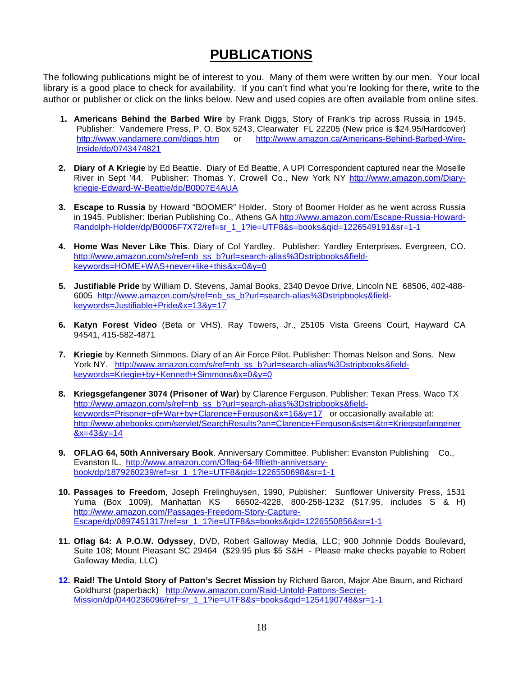# **PUBLICATIONS**

The following publications might be of interest to you. Many of them were written by our men. Your local library is a good place to check for availability. If you can't find what you're looking for there, write to the author or publisher or click on the links below. New and used copies are often available from online sites.

- **1. Americans Behind the Barbed Wire** by Frank Diggs, Story of Frank's trip across Russia in 1945. Publisher: Vandemere Press, P. O. Box 5243, Clearwater FL 22205 (New price is \$24.95/Hardcover) http://www.vandamere.com/diggs.htm or http://www.amazon.ca/Americans-Behind-Barbed-Wire-Inside/dp/0743474821
- **2. Diary of A Kriegie** by Ed Beattie. Diary of Ed Beattie, A UPI Correspondent captured near the Moselle River in Sept '44.Publisher: Thomas Y. Crowell Co., New York NY http://www.amazon.com/Diarykriegie-Edward-W-Beattie/dp/B0007E4AUA
- **3. Escape to Russia** by Howard "BOOMER" Holder. Story of Boomer Holder as he went across Russia in 1945. Publisher: Iberian Publishing Co., Athens GA http://www.amazon.com/Escape-Russia-Howard-Randolph-Holder/dp/B0006F7X72/ref=sr\_1\_1?ie=UTF8&s=books&qid=1226549191&sr=1-1
- **4. Home Was Never Like This**. Diary of Col Yardley. Publisher: Yardley Enterprises. Evergreen, CO. http://www.amazon.com/s/ref=nb\_ss\_b?url=search-alias%3Dstripbooks&fieldkeywords=HOME+WAS+never+like+this&x=0&y=0
- **5. Justifiable Pride** by William D. Stevens, Jamal Books, 2340 Devoe Drive, Lincoln NE 68506, 402-488- 6005 http://www.amazon.com/s/ref=nb\_ss\_b?url=search-alias%3Dstripbooks&fieldkeywords=Justifiable+Pride&x=13&y=17
- **6. Katyn Forest Video** (Beta or VHS). Ray Towers, Jr., 25105 Vista Greens Court, Hayward CA 94541, 415-582-4871
- **7. Kriegie** by Kenneth Simmons. Diary of an Air Force Pilot. Publisher: Thomas Nelson and Sons. New York NY. http://www.amazon.com/s/ref=nb\_ss\_b?url=search-alias%3Dstripbooks&fieldkeywords=Kriegie+by+Kenneth+Simmons&x=0&y=0
- **8. Kriegsgefangener 3074 (Prisoner of War)** by Clarence Ferguson. Publisher: Texan Press, Waco TX http://www.amazon.com/s/ref=nb\_ss\_b?url=search-alias%3Dstripbooks&fieldkeywords=Prisoner+of+War+by+Clarence+Ferguson&x=16&y=17 or occasionally available at: http://www.abebooks.com/servlet/SearchResults?an=Clarence+Ferguson&sts=t&tn=Kriegsgefangener  $&x=43&y=14$
- **9. OFLAG 64, 50th Anniversary Book**. Anniversary Committee. Publisher: Evanston Publishing Co., Evanston IL. http://www.amazon.com/Oflag-64-fiftieth-anniversarybook/dp/1879260239/ref=sr\_1\_1?ie=UTF8&qid=1226550698&sr=1-1
- **10. Passages to Freedom**, Joseph Frelinghuysen, 1990, Publisher: Sunflower University Press, 1531 Yuma (Box 1009), Manhattan KS 66502-4228, 800-258-1232 (\$17.95, includes S & H) http://www.amazon.com/Passages-Freedom-Story-Capture-Escape/dp/0897451317/ref=sr\_1\_1?ie=UTF8&s=books&qid=1226550856&sr=1-1
- **11. Oflag 64: A P.O.W. Odyssey**, DVD, Robert Galloway Media, LLC; 900 Johnnie Dodds Boulevard, Suite 108; Mount Pleasant SC 29464 (\$29.95 plus \$5 S&H - Please make checks payable to Robert Galloway Media, LLC)
- **12. Raid! The Untold Story of Patton's Secret Mission** by Richard Baron, Major Abe Baum, and Richard Goldhurst (paperback) http://www.amazon.com/Raid-Untold-Pattons-Secret-Mission/dp/0440236096/ref=sr\_1\_1?ie=UTF8&s=books&qid=1254190748&sr=1-1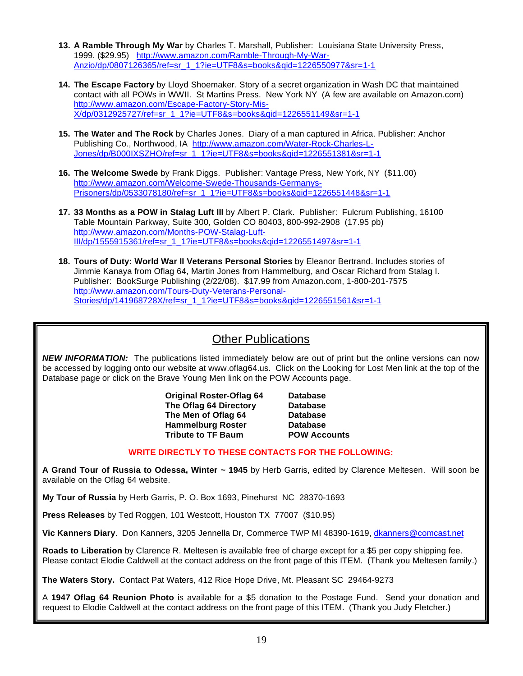- **13. A Ramble Through My War** by Charles T. Marshall, Publisher: Louisiana State University Press, 1999. (\$29.95) http://www.amazon.com/Ramble-Through-My-War-Anzio/dp/0807126365/ref=sr\_1\_1?ie=UTF8&s=books&qid=1226550977&sr=1-1
- **14. The Escape Factory** by Lloyd Shoemaker. Story of a secret organization in Wash DC that maintained contact with all POWs in WWII. St Martins Press. New York NY (A few are available on Amazon.com) http://www.amazon.com/Escape-Factory-Story-Mis-X/dp/0312925727/ref=sr\_1\_1?ie=UTF8&s=books&qid=1226551149&sr=1-1
- **15. The Water and The Rock** by Charles Jones. Diary of a man captured in Africa. Publisher: Anchor Publishing Co., Northwood, IA http://www.amazon.com/Water-Rock-Charles-L-Jones/dp/B000IXSZHO/ref=sr\_1\_1?ie=UTF8&s=books&qid=1226551381&sr=1-1
- **16. The Welcome Swede** by Frank Diggs. Publisher: Vantage Press, New York, NY (\$11.00) http://www.amazon.com/Welcome-Swede-Thousands-Germanys-Prisoners/dp/0533078180/ref=sr\_1\_1?ie=UTF8&s=books&qid=1226551448&sr=1-1
- **17. 33 Months as a POW in Stalag Luft III** by Albert P. Clark. Publisher: Fulcrum Publishing, 16100 Table Mountain Parkway, Suite 300, Golden CO 80403, 800-992-2908 (17.95 pb) http://www.amazon.com/Months-POW-Stalag-Luft-III/dp/1555915361/ref=sr\_1\_1?ie=UTF8&s=books&qid=1226551497&sr=1-1
- **18. Tours of Duty: World War II Veterans Personal Stories** by Eleanor Bertrand. Includes stories of Jimmie Kanaya from Oflag 64, Martin Jones from Hammelburg, and Oscar Richard from Stalag I. Publisher: BookSurge Publishing (2/22/08). \$17.99 from Amazon.com, 1-800-201-7575 http://www.amazon.com/Tours-Duty-Veterans-Personal-Stories/dp/141968728X/ref=sr\_1\_1?ie=UTF8&s=books&qid=1226551561&sr=1-1

## Other Publications

*NEW INFORMATION:* The publications listed immediately below are out of print but the online versions can now be accessed by logging onto our website at www.oflag64.us. Click on the Looking for Lost Men link at the top of the Database page or click on the Brave Young Men link on the POW Accounts page.

> **Original Roster-Oflag 64 Database The Oflag 64 Directory Database The Men of Oflag 64 Database Hammelburg Roster Database Tribute to TF Baum POW Accounts**

## **WRITE DIRECTLY TO THESE CONTACTS FOR THE FOLLOWING:**

**A Grand Tour of Russia to Odessa, Winter ~ 1945** by Herb Garris, edited by Clarence Meltesen. Will soon be available on the Oflag 64 website.

**My Tour of Russia** by Herb Garris, P. O. Box 1693, Pinehurst NC 28370-1693

**Press Releases** by Ted Roggen, 101 Westcott, Houston TX 77007 (\$10.95)

**Vic Kanners Diary**. Don Kanners, 3205 Jennella Dr, Commerce TWP MI 48390-1619, dkanners@comcast.net

**Roads to Liberation** by Clarence R. Meltesen is available free of charge except for a \$5 per copy shipping fee. Please contact Elodie Caldwell at the contact address on the front page of this ITEM. (Thank you Meltesen family.)

**The Waters Story.** Contact Pat Waters, 412 Rice Hope Drive, Mt. Pleasant SC 29464-9273

A **1947 Oflag 64 Reunion Photo** is available for a \$5 donation to the Postage Fund. Send your donation and request to Elodie Caldwell at the contact address on the front page of this ITEM. (Thank you Judy Fletcher.)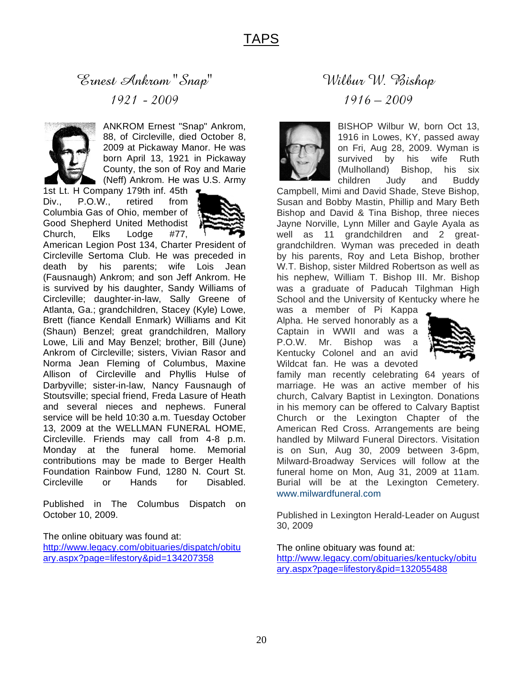# Ernest Ankrom "Snap" 1921 - 2009



ANKROM Ernest "Snap" Ankrom, 88, of Circleville, died October 8, 2009 at Pickaway Manor. He was born April 13, 1921 in Pickaway County, the son of Roy and Marie (Neff) Ankrom. He was U.S. Army

1st Lt. H Company 179th inf. 45th Div., P.O.W., retired from Columbia Gas of Ohio, member of Good Shepherd United Methodist Church, Elks Lodge #77,



American Legion Post 134, Charter President of Circleville Sertoma Club. He was preceded in death by his parents; wife Lois Jean (Fausnaugh) Ankrom; and son Jeff Ankrom. He is survived by his daughter, Sandy Williams of Circleville; daughter-in-law, Sally Greene of Atlanta, Ga.; grandchildren, Stacey (Kyle) Lowe, Brett (fiance Kendall Enmark) Williams and Kit (Shaun) Benzel; great grandchildren, Mallory Lowe, Lili and May Benzel; brother, Bill (June) Ankrom of Circleville; sisters, Vivian Rasor and Norma Jean Fleming of Columbus, Maxine Allison of Circleville and Phyllis Hulse of Darbyville; sister-in-law, Nancy Fausnaugh of Stoutsville; special friend, Freda Lasure of Heath and several nieces and nephews. Funeral service will be held 10:30 a.m. Tuesday October 13, 2009 at the WELLMAN FUNERAL HOME, Circleville. Friends may call from 4-8 p.m. Monday at the funeral home. Memorial contributions may be made to Berger Health Foundation Rainbow Fund, 1280 N. Court St. Circleville or Hands for Disabled.

Published in The Columbus Dispatch on October 10, 2009.

The online obituary was found at: http://www.legacy.com/obituaries/dispatch/obitu ary.aspx?page=lifestory&pid=134207358

# Wilbur W. Bishop 1916 – 2009



BISHOP Wilbur W, born Oct 13, 1916 in Lowes, KY, passed away on Fri, Aug 28, 2009. Wyman is survived by his wife Ruth (Mulholland) Bishop, his six children Judy and Buddy

Campbell, Mimi and David Shade, Steve Bishop, Susan and Bobby Mastin, Phillip and Mary Beth Bishop and David & Tina Bishop, three nieces Jayne Norville, Lynn Miller and Gayle Ayala as well as 11 grandchildren and 2 greatgrandchildren. Wyman was preceded in death by his parents, Roy and Leta Bishop, brother W.T. Bishop, sister Mildred Robertson as well as his nephew, William T. Bishop III. Mr. Bishop was a graduate of Paducah Tilghman High School and the University of Kentucky where he

was a member of Pi Kappa Alpha. He served honorably as a Captain in WWII and was a P.O.W. Mr. Bishop was a Kentucky Colonel and an avid Wildcat fan. He was a devoted



family man recently celebrating 64 years of marriage. He was an active member of his church, Calvary Baptist in Lexington. Donations in his memory can be offered to Calvary Baptist Church or the Lexington Chapter of the American Red Cross. Arrangements are being handled by Milward Funeral Directors. Visitation is on Sun, Aug 30, 2009 between 3-6pm, Milward-Broadway Services will follow at the funeral home on Mon, Aug 31, 2009 at 11am. Burial will be at the Lexington Cemetery. www.milwardfuneral.com

Published in Lexington Herald-Leader on August 30, 2009

The online obituary was found at: http://www.legacy.com/obituaries/kentucky/obitu ary.aspx?page=lifestory&pid=132055488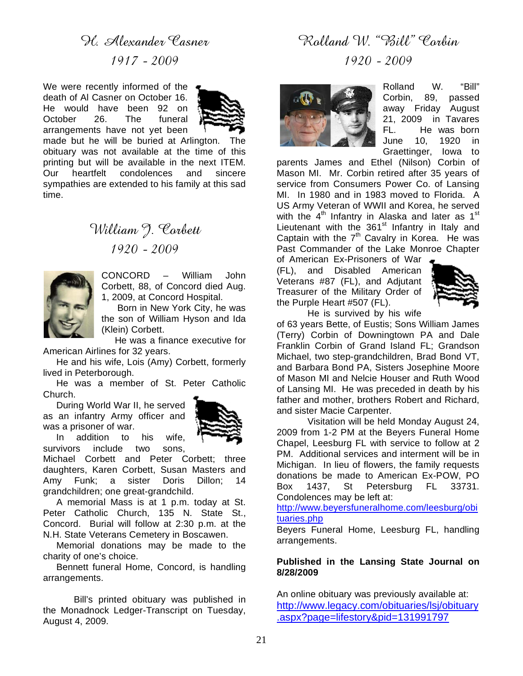# H. Alexander Casner 1917 - 2009

We were recently informed of the death of Al Casner on October 16. He would have been 92 on October 26. The funeral arrangements have not yet been



made but he will be buried at Arlington. The obituary was not available at the time of this printing but will be available in the next ITEM. Our heartfelt condolences and sincere sympathies are extended to his family at this sad time.

# William 9. Corbett 1920 - 2009



CONCORD – William John Corbett, 88, of Concord died Aug. 1, 2009, at Concord Hospital.

 Born in New York City, he was the son of William Hyson and Ida (Klein) Corbett.

 He was a finance executive for American Airlines for 32 years.

 He and his wife, Lois (Amy) Corbett, formerly lived in Peterborough.

 He was a member of St. Peter Catholic Church.

 During World War II, he served as an infantry Army officer and was a prisoner of war.



 In addition to his wife, survivors include two sons.

Michael Corbett and Peter Corbett; three daughters, Karen Corbett, Susan Masters and Amy Funk; a sister Doris Dillon; 14 grandchildren; one great-grandchild.

 A memorial Mass is at 1 p.m. today at St. Peter Catholic Church, 135 N. State St., Concord. Burial will follow at 2:30 p.m. at the N.H. State Veterans Cemetery in Boscawen.

 Memorial donations may be made to the charity of one's choice.

 Bennett funeral Home, Concord, is handling arrangements.

 Bill's printed obituary was published in the Monadnock Ledger-Transcript on Tuesday, August 4, 2009.

# Rolland W. "Bill" Corbin

1920 - 2009



Rolland W. "Bill" Corbin, 89, passed away Friday August 21, 2009 in Tavares FL. He was born June 10, 1920 in Graettinger, Iowa to

parents James and Ethel (Nilson) Corbin of Mason MI. Mr. Corbin retired after 35 years of service from Consumers Power Co. of Lansing MI. In 1980 and in 1983 moved to Florida. A US Army Veteran of WWII and Korea, he served with the 4<sup>th</sup> Infantry in Alaska and later as 1<sup>st</sup> Lieutenant with the  $361<sup>st</sup>$  Infantry in Italy and Captain with the  $7<sup>th</sup>$  Cavalry in Korea. He was Past Commander of the Lake Monroe Chapter

of American Ex-Prisoners of War (FL), and Disabled American Veterans #87 (FL), and Adjutant Treasurer of the Military Order of the Purple Heart #507 (FL).



He is survived by his wife

of 63 years Bette, of Eustis; Sons William James (Terry) Corbin of Downingtown PA and Dale Franklin Corbin of Grand Island FL; Grandson Michael, two step-grandchildren, Brad Bond VT, and Barbara Bond PA, Sisters Josephine Moore of Mason MI and Nelcie Houser and Ruth Wood of Lansing MI. He was preceded in death by his father and mother, brothers Robert and Richard, and sister Macie Carpenter.

 Visitation will be held Monday August 24, 2009 from 1-2 PM at the Beyers Funeral Home Chapel, Leesburg FL with service to follow at 2 PM. Additional services and interment will be in Michigan. In lieu of flowers, the family requests donations be made to American Ex-POW, PO Box 1437, St Petersburg FL 33731. Condolences may be left at:

http://www.beyersfuneralhome.com/leesburg/obi tuaries.php

Beyers Funeral Home, Leesburg FL, handling arrangements.

## **Published in the Lansing State Journal on 8/28/2009**

An online obituary was previously available at: http://www.legacy.com/obituaries/lsj/obituary .aspx?page=lifestory&pid=131991797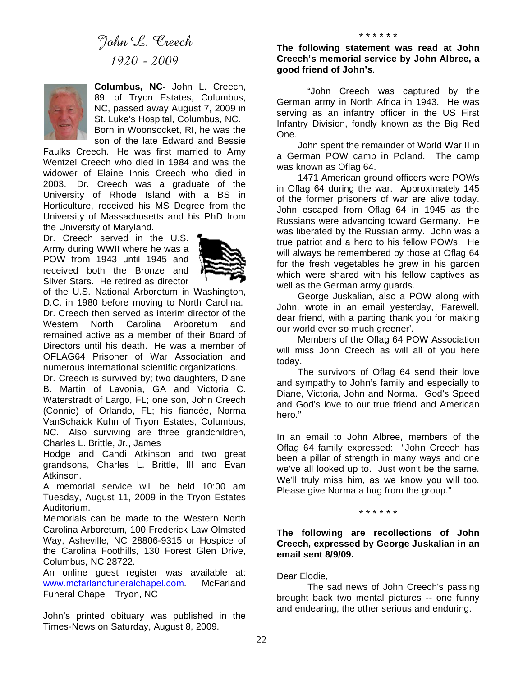

**Columbus, NC-** John L. Creech, 89, of Tryon Estates, Columbus, NC, passed away August 7, 2009 in St. Luke's Hospital, Columbus, NC. Born in Woonsocket, RI, he was the

son of the late Edward and Bessie Faulks Creech. He was first married to Amy Wentzel Creech who died in 1984 and was the widower of Elaine Innis Creech who died in 2003. Dr. Creech was a graduate of the University of Rhode Island with a BS in Horticulture, received his MS Degree from the University of Massachusetts and his PhD from the University of Maryland.

Dr. Creech served in the U.S. Army during WWII where he was a POW from 1943 until 1945 and received both the Bronze and Silver Stars. He retired as director



of the U.S. National Arboretum in Washington, D.C. in 1980 before moving to North Carolina. Dr. Creech then served as interim director of the Western North Carolina Arboretum and remained active as a member of their Board of Directors until his death. He was a member of OFLAG64 Prisoner of War Association and numerous international scientific organizations.

Dr. Creech is survived by; two daughters, Diane B. Martin of Lavonia, GA and Victoria C. Waterstradt of Largo, FL; one son, John Creech (Connie) of Orlando, FL; his fiancée, Norma VanSchaick Kuhn of Tryon Estates, Columbus, NC. Also surviving are three grandchildren, Charles L. Brittle, Jr., James

Hodge and Candi Atkinson and two great grandsons, Charles L. Brittle, III and Evan Atkinson.

A memorial service will be held 10:00 am Tuesday, August 11, 2009 in the Tryon Estates Auditorium.

Memorials can be made to the Western North Carolina Arboretum, 100 Frederick Law Olmsted Way, Asheville, NC 28806-9315 or Hospice of the Carolina Foothills, 130 Forest Glen Drive, Columbus, NC 28722.

An online guest register was available at: www.mcfarlandfuneralchapel.com. McFarland Funeral Chapel Tryon, NC

John's printed obituary was published in the Times-News on Saturday, August 8, 2009.

\* \* \* \* \* \*

"John Creech was captured by the German army in North Africa in 1943. He was serving as an infantry officer in the US First Infantry Division, fondly known as the Big Red One.

 John spent the remainder of World War II in a German POW camp in Poland. The camp was known as Oflag 64.

 1471 American ground officers were POWs in Oflag 64 during the war. Approximately 145 of the former prisoners of war are alive today. John escaped from Oflag 64 in 1945 as the Russians were advancing toward Germany. He was liberated by the Russian army. John was a true patriot and a hero to his fellow POWs. He will always be remembered by those at Oflag 64 for the fresh vegetables he grew in his garden which were shared with his fellow captives as well as the German army guards.

 George Juskalian, also a POW along with John, wrote in an email yesterday, 'Farewell, dear friend, with a parting thank you for making our world ever so much greener'.

 Members of the Oflag 64 POW Association will miss John Creech as will all of you here today.

 The survivors of Oflag 64 send their love and sympathy to John's family and especially to Diane, Victoria, John and Norma. God's Speed and God's love to our true friend and American hero."

In an email to John Albree, members of the Oflag 64 family expressed: "John Creech has been a pillar of strength in many ways and one we've all looked up to. Just won't be the same. We'll truly miss him, as we know you will too. Please give Norma a hug from the group."

#### \* \* \* \* \* \*

**The following are recollections of John Creech, expressed by George Juskalian in an email sent 8/9/09.** 

## Dear Elodie,

The sad news of John Creech's passing brought back two mental pictures -- one funny and endearing, the other serious and enduring.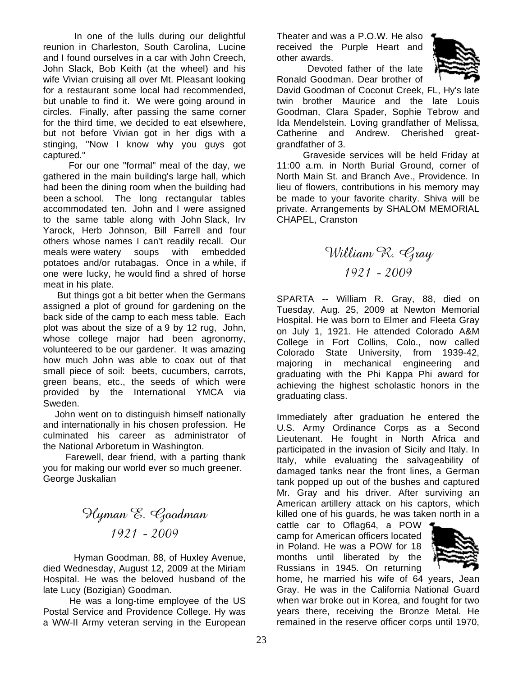In one of the lulls during our delightful reunion in Charleston, South Carolina, Lucine and I found ourselves in a car with John Creech, John Slack, Bob Keith (at the wheel) and his wife Vivian cruising all over Mt. Pleasant looking for a restaurant some local had recommended, but unable to find it. We were going around in circles. Finally, after passing the same corner for the third time, we decided to eat elsewhere, but not before Vivian got in her digs with a stinging, "Now I know why you guys got captured."

 For our one "formal" meal of the day, we gathered in the main building's large hall, which had been the dining room when the building had been a school. The long rectangular tables accommodated ten. John and I were assigned to the same table along with John Slack, Irv Yarock, Herb Johnson, Bill Farrell and four others whose names I can't readily recall. Our meals were watery soups with embedded potatoes and/or rutabagas. Once in a while, if one were lucky, he would find a shred of horse meat in his plate.

 But things got a bit better when the Germans assigned a plot of ground for gardening on the back side of the camp to each mess table. Each plot was about the size of a 9 by 12 rug, John, whose college major had been agronomy, volunteered to be our gardener. It was amazing how much John was able to coax out of that small piece of soil: beets, cucumbers, carrots, green beans, etc., the seeds of which were provided by the International YMCA via Sweden.

 John went on to distinguish himself nationally and internationally in his chosen profession. He culminated his career as administrator of the National Arboretum in Washington.

 Farewell, dear friend, with a parting thank you for making our world ever so much greener. George Juskalian

# Hyman E. Goodman 1921 - 2009

Hyman Goodman, 88, of Huxley Avenue, died Wednesday, August 12, 2009 at the Miriam Hospital. He was the beloved husband of the late Lucy (Bozigian) Goodman.

 He was a long-time employee of the US Postal Service and Providence College. Hy was a WW-II Army veteran serving in the European Theater and was a P.O.W. He also received the Purple Heart and other awards.



Devoted father of the late Ronald Goodman. Dear brother of

David Goodman of Coconut Creek, FL, Hy's late twin brother Maurice and the late Louis Goodman, Clara Spader, Sophie Tebrow and Ida Mendelstein. Loving grandfather of Melissa, Catherine and Andrew. Cherished greatgrandfather of 3.

 Graveside services will be held Friday at 11:00 a.m. in North Burial Ground, corner of North Main St. and Branch Ave., Providence. In lieu of flowers, contributions in his memory may be made to your favorite charity. Shiva will be private. Arrangements by SHALOM MEMORIAL CHAPEL, Cranston

William R. Gray 1921 - 2009

SPARTA -- William R. Gray, 88, died on Tuesday, Aug. 25, 2009 at Newton Memorial Hospital. He was born to Elmer and Fleeta Gray on July 1, 1921. He attended Colorado A&M College in Fort Collins, Colo., now called Colorado State University, from 1939-42, majoring in mechanical engineering and graduating with the Phi Kappa Phi award for achieving the highest scholastic honors in the graduating class.

Immediately after graduation he entered the U.S. Army Ordinance Corps as a Second Lieutenant. He fought in North Africa and participated in the invasion of Sicily and Italy. In Italy, while evaluating the salvageability of damaged tanks near the front lines, a German tank popped up out of the bushes and captured Mr. Gray and his driver. After surviving an American artillery attack on his captors, which killed one of his guards, he was taken north in a

cattle car to Oflag64, a POW camp for American officers located in Poland. He was a POW for 18 months until liberated by the Russians in 1945. On returning



home, he married his wife of 64 years, Jean Gray. He was in the California National Guard when war broke out in Korea, and fought for two years there, receiving the Bronze Metal. He remained in the reserve officer corps until 1970,